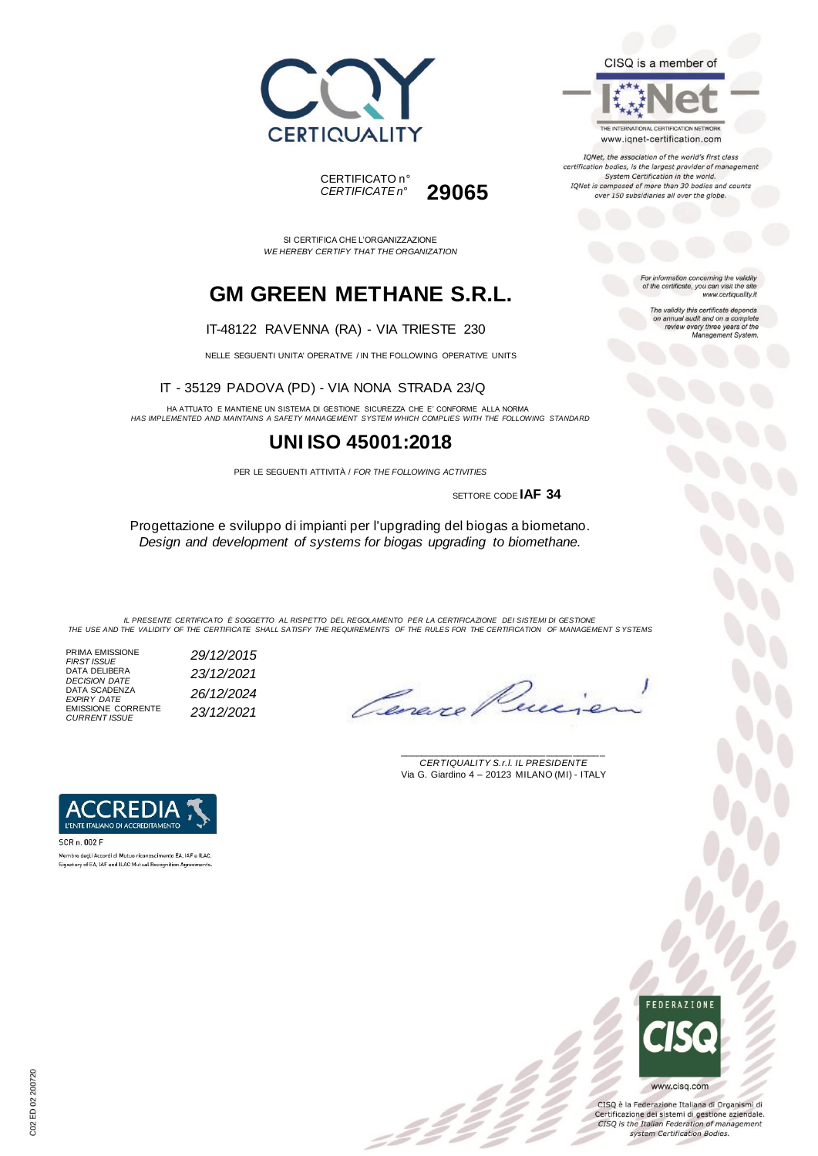



*CERTIFICATE n°* **29065**

SI CERTIFICA CHE L'ORGANIZZAZIONE *WE HEREBY CERTIFY THAT THE ORGANIZATION*

# **GM GREEN METHANE S.R.L.**

#### IT-48122 RAVENNA (RA) - VIA TRIESTE 230

NELLE SEGUENTI UNITA' OPERATIVE / IN THE FOLLOWING OPERATIVE UNITS

IT - 35129 PADOVA (PD) - VIA NONA STRADA 23/Q

HA ATTUATO E MANTIENE UN SISTEMA DI GESTIONE SICUREZZA CHE E' CONFORME ALLA NORMA *HAS IMPLEMENTED AND MAINTAINS A SAFETY MANAGEMENT SYSTEM WHICH COMPLIES WITH THE FOLLOWING STANDARD*

## **UNI ISO 45001:2018**

PER LE SEGUENTI ATTIVITÀ / *FOR THE FOLLOWING ACTIVITIES*

SETTORE CODE **IAF 34**

Progettazione e sviluppo di impianti per l'upgrading del biogas a biometano. *Design and development of systems for biogas upgrading to biomethane.*

*IL PRESENTE CERTIFICATO È SOGGETTO AL RISPETTO DEL REGOLAMENTO PER LA CERTIFICAZIONE DEI SISTEMI DI GESTIONE THE USE AND THE VALIDITY OF THE CERTIFICATE SHALL SATISFY THE REQUIREMENTS OF THE RULES FOR THE CERTIFICATION OF MANAGEMENT S YSTEMS*

PRIMA EMISSIONE *FIRST ISSUE 29/12/2015* DATA DELIBERA *DECISION DATE 23/12/2021* DATA SCADENZA *EXPIRY DATE 26/12/2024* EMISSIONE CORRENTE *CURRENT ISSUE 23/12/2021*

Cane.

\_\_\_\_\_\_\_\_\_\_\_\_\_\_\_\_\_\_\_\_\_\_\_\_\_\_\_\_\_\_\_\_\_\_\_\_\_\_\_ *CERTIQUALITY S.r.l. IL PRESIDENTE* Via G. Giardino 4 – 20123 MILANO (MI) - ITALY



SCR n 002 F .<br>Membro degli Accordi di Mutuo riconoscimento EA, IAF e ILAC Signatory of EA, IAF and ILAC Mutual Recognition Agreements.



CISQ è la Federazione Italiana di Organismi di Certificazione dei sistemi di gestione aziendale. CISQ is the Italian Federation of management system Certification Bodies.

#### CISQ is a member of



IQNet, the association of the world's first class certification bodies, is the largest provider of management System Certification in the world. IQNet is composed of more than 30 bodies and counts over 150 subsidiaries all over the globe.

> For information concerning the validity<br>of the certificate, you can visit the site www.certiquality.it

> > The validity this certificate depends<br>on annual audit and on a complete<br>review every three years of the<br>Management System.